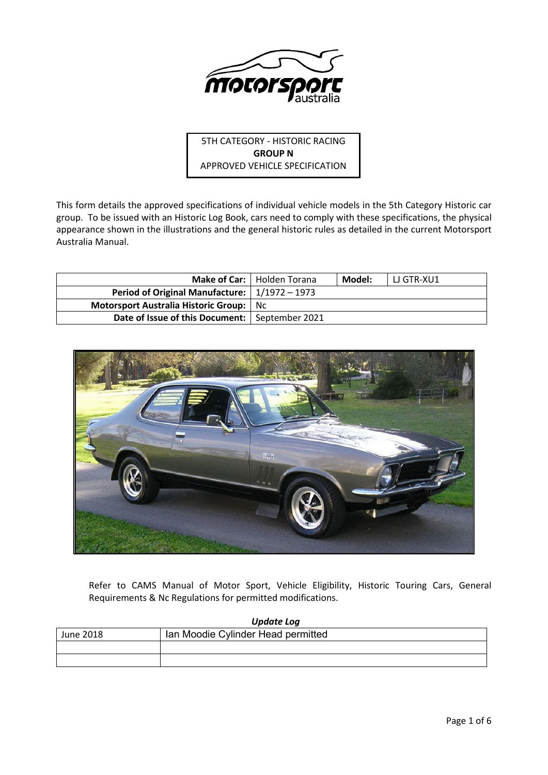

5TH CATEGORY - HISTORIC RACING **GROUP N** APPROVED VEHICLE SPECIFICATION

This form details the approved specifications of individual vehicle models in the 5th Category Historic car group. To be issued with an Historic Log Book, cars need to comply with these specifications, the physical appearance shown in the illustrations and the general historic rules as detailed in the current Motorsport Australia Manual.

|                                                             | Make of Car:   Holden Torana | Model: | l LJ GTR-XU1 |
|-------------------------------------------------------------|------------------------------|--------|--------------|
| Period of Original Manufacture: $\vert 1/1972 - 1973 \vert$ |                              |        |              |
| <b>Motorsport Australia Historic Group:</b> Nc              |                              |        |              |
| Date of Issue of this Document:   September 2021            |                              |        |              |



Refer to CAMS Manual of Motor Sport, Vehicle Eligibility, Historic Touring Cars, General Requirements & Nc Regulations for permitted modifications.

| Update Log |                                    |  |  |  |
|------------|------------------------------------|--|--|--|
| June 2018  | Ian Moodie Cylinder Head permitted |  |  |  |
|            |                                    |  |  |  |
|            |                                    |  |  |  |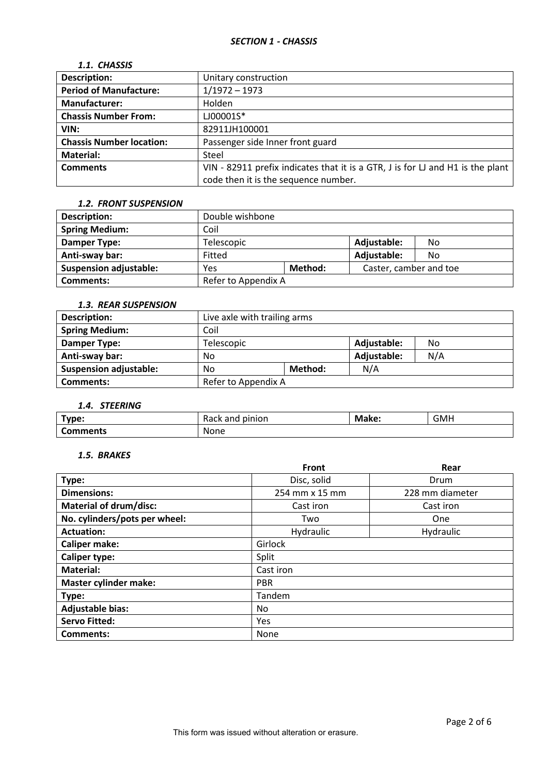| 1.1. CHASSIS                    |                                                                                |
|---------------------------------|--------------------------------------------------------------------------------|
| <b>Description:</b>             | Unitary construction                                                           |
| <b>Period of Manufacture:</b>   | $1/1972 - 1973$                                                                |
| <b>Manufacturer:</b>            | Holden                                                                         |
| <b>Chassis Number From:</b>     | LJ00001S*                                                                      |
| VIN:                            | 82911JH100001                                                                  |
| <b>Chassis Number location:</b> | Passenger side Inner front guard                                               |
| <b>Material:</b>                | Steel                                                                          |
| <b>Comments</b>                 | VIN - 82911 prefix indicates that it is a GTR, J is for LJ and H1 is the plant |
|                                 | code then it is the sequence number.                                           |

#### *1.2. FRONT SUSPENSION*

| <b>Description:</b>           | Double wishbone     |         |                        |    |
|-------------------------------|---------------------|---------|------------------------|----|
| <b>Spring Medium:</b>         | Coil                |         |                        |    |
| Damper Type:                  | Telescopic          |         | Adjustable:            | No |
| Anti-sway bar:                | Fitted              |         | Adjustable:            | No |
| <b>Suspension adjustable:</b> | Yes                 | Method: | Caster, camber and toe |    |
| <b>Comments:</b>              | Refer to Appendix A |         |                        |    |

#### *1.3. REAR SUSPENSION*

| <b>Description:</b>           | Live axle with trailing arms |                   |             |     |
|-------------------------------|------------------------------|-------------------|-------------|-----|
| <b>Spring Medium:</b>         | Coil                         |                   |             |     |
| Damper Type:                  | Telescopic                   | Adjustable:<br>No |             |     |
| Anti-sway bar:                | No                           |                   | Adjustable: | N/A |
| <b>Suspension adjustable:</b> | N/A<br>Method:<br>No         |                   |             |     |
| <b>Comments:</b>              | Refer to Appendix A          |                   |             |     |

# *1.4. STEERING*

| Type:           | pinion<br>nne<br>Rack anu | Make: | <b>GMH</b> |
|-----------------|---------------------------|-------|------------|
| <b>Comments</b> | None                      |       |            |

## *1.5. BRAKES*

|                               | Front          | Rear            |  |  |  |
|-------------------------------|----------------|-----------------|--|--|--|
| Type:                         | Disc, solid    | Drum            |  |  |  |
| <b>Dimensions:</b>            | 254 mm x 15 mm | 228 mm diameter |  |  |  |
| <b>Material of drum/disc:</b> | Cast iron      | Cast iron       |  |  |  |
| No. cylinders/pots per wheel: | Two            | One             |  |  |  |
| <b>Actuation:</b>             | Hydraulic      | Hydraulic       |  |  |  |
| <b>Caliper make:</b>          | Girlock        |                 |  |  |  |
| <b>Caliper type:</b>          | Split          |                 |  |  |  |
| <b>Material:</b>              | Cast iron      |                 |  |  |  |
| <b>Master cylinder make:</b>  | <b>PBR</b>     |                 |  |  |  |
| Type:                         | Tandem         |                 |  |  |  |
| <b>Adjustable bias:</b>       | No             |                 |  |  |  |
| <b>Servo Fitted:</b>          | Yes            |                 |  |  |  |
| <b>Comments:</b>              | None           |                 |  |  |  |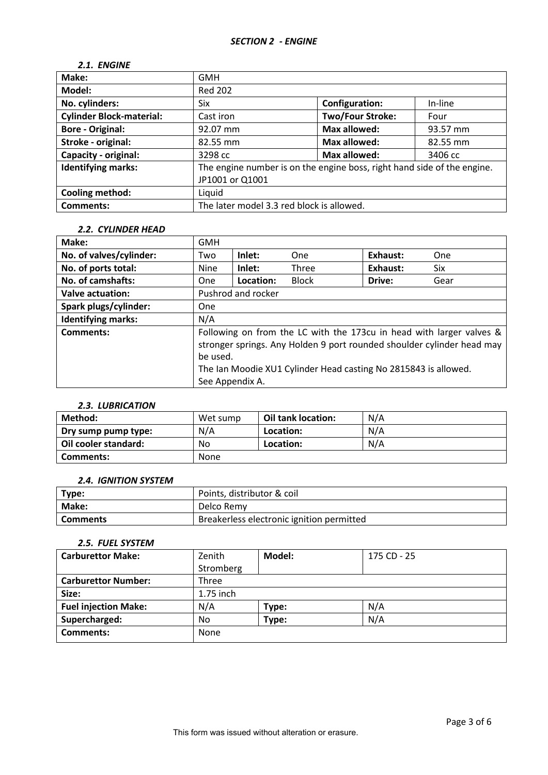#### *2.1. ENGINE*

| Make:                           | <b>GMH</b>                                                              |                         |          |  |
|---------------------------------|-------------------------------------------------------------------------|-------------------------|----------|--|
| Model:                          | <b>Red 202</b>                                                          |                         |          |  |
| No. cylinders:                  | Six                                                                     | <b>Configuration:</b>   | In-line  |  |
| <b>Cylinder Block-material:</b> | Cast iron                                                               | <b>Two/Four Stroke:</b> | Four     |  |
| <b>Bore - Original:</b>         | 92.07 mm                                                                | <b>Max allowed:</b>     | 93.57 mm |  |
| Stroke - original:              | <b>Max allowed:</b><br>82.55 mm<br>82.55 mm                             |                         |          |  |
| Capacity - original:            | <b>Max allowed:</b><br>3298 cc<br>3406 cc                               |                         |          |  |
| <b>Identifying marks:</b>       | The engine number is on the engine boss, right hand side of the engine. |                         |          |  |
|                                 | JP1001 or Q1001                                                         |                         |          |  |
| Cooling method:                 | Liquid                                                                  |                         |          |  |
| <b>Comments:</b>                | The later model 3.3 red block is allowed.                               |                         |          |  |

### *2.2. CYLINDER HEAD*

| Make:                     | <b>GMH</b>                  |                    |                                                                                                                                                                                                                   |          |            |
|---------------------------|-----------------------------|--------------------|-------------------------------------------------------------------------------------------------------------------------------------------------------------------------------------------------------------------|----------|------------|
| No. of valves/cylinder:   | Two                         | Inlet:             | One                                                                                                                                                                                                               | Exhaust: | <b>One</b> |
| No. of ports total:       | <b>Nine</b>                 | Inlet:             | Three                                                                                                                                                                                                             | Exhaust: | Six        |
| No. of camshafts:         | <b>One</b>                  | Location:          | <b>Block</b>                                                                                                                                                                                                      | Drive:   | Gear       |
| <b>Valve actuation:</b>   |                             | Pushrod and rocker |                                                                                                                                                                                                                   |          |            |
| Spark plugs/cylinder:     | One                         |                    |                                                                                                                                                                                                                   |          |            |
| <b>Identifying marks:</b> | N/A                         |                    |                                                                                                                                                                                                                   |          |            |
| Comments:                 | be used.<br>See Appendix A. |                    | Following on from the LC with the 173cu in head with larger valves &<br>stronger springs. Any Holden 9 port rounded shoulder cylinder head may<br>The Ian Moodie XU1 Cylinder Head casting No 2815843 is allowed. |          |            |

# *2.3. LUBRICATION*

| Method:              | Wet sump | Oil tank location: | N/A |
|----------------------|----------|--------------------|-----|
| Dry sump pump type:  | N/A      | Location:          | N/A |
| Oil cooler standard: | No       | Location:          | N/A |
| Comments:            | None     |                    |     |

# *2.4. IGNITION SYSTEM*

| Type:      | Points, distributor & coil                |
|------------|-------------------------------------------|
| Make:      | Delco Remy                                |
| ' Comments | Breakerless electronic ignition permitted |

### *2.5. FUEL SYSTEM*

| <b>Carburettor Make:</b>    | Zenith    | Model: | 175 CD - 25 |
|-----------------------------|-----------|--------|-------------|
|                             | Stromberg |        |             |
| <b>Carburettor Number:</b>  | Three     |        |             |
| Size:                       | 1.75 inch |        |             |
| <b>Fuel injection Make:</b> | N/A       | Type:  | N/A         |
| Supercharged:               | No        | Type:  | N/A         |
| <b>Comments:</b>            | None      |        |             |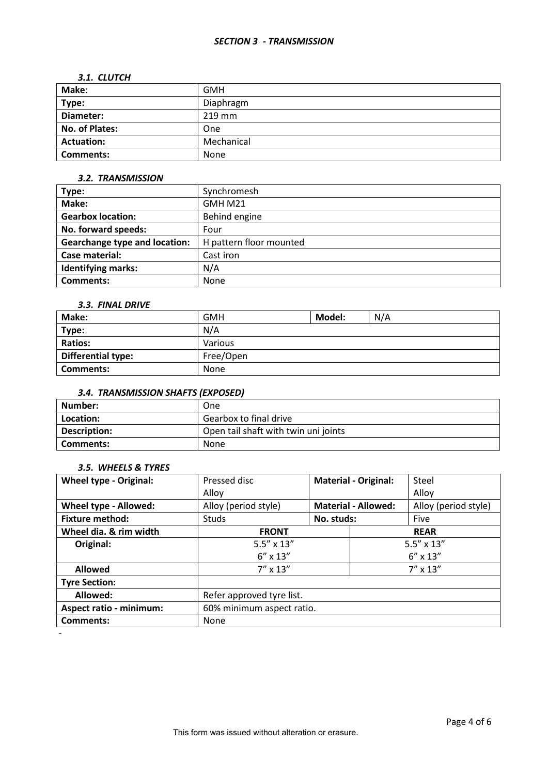# *3.1. CLUTCH*

| Make:             | GMH        |
|-------------------|------------|
| Type:             | Diaphragm  |
| Diameter:         | $219$ mm   |
| No. of Plates:    | One        |
| <b>Actuation:</b> | Mechanical |
| <b>Comments:</b>  | None       |

### *3.2. TRANSMISSION*

| Type:                                | Synchromesh             |
|--------------------------------------|-------------------------|
| Make:                                | GMH M21                 |
| <b>Gearbox location:</b>             | Behind engine           |
| No. forward speeds:                  | Four                    |
| <b>Gearchange type and location:</b> | H pattern floor mounted |
| Case material:                       | Cast iron               |
| <b>Identifying marks:</b>            | N/A                     |
| Comments:                            | None                    |

### *3.3. FINAL DRIVE*

| Make:                     | <b>GMH</b> | Model: | N/A |
|---------------------------|------------|--------|-----|
| Type:                     | N/A        |        |     |
| <b>Ratios:</b>            | Various    |        |     |
| <b>Differential type:</b> | Free/Open  |        |     |
| <b>Comments:</b>          | None       |        |     |

# *3.4. TRANSMISSION SHAFTS (EXPOSED)*

| Number:      | One                                  |
|--------------|--------------------------------------|
| Location:    | Gearbox to final drive               |
| Description: | Open tail shaft with twin uni joints |
| Comments:    | None                                 |

### *3.5. WHEELS & TYRES*

| <b>Wheel type - Original:</b>  | Pressed disc              | <b>Material - Original:</b> |  | Steel                |
|--------------------------------|---------------------------|-----------------------------|--|----------------------|
|                                | Alloy                     |                             |  | Alloy                |
| Wheel type - Allowed:          | Alloy (period style)      | <b>Material - Allowed:</b>  |  | Alloy (period style) |
| <b>Fixture method:</b>         | Studs                     | No. studs:                  |  | Five                 |
| Wheel dia. & rim width         | <b>FRONT</b>              | <b>REAR</b>                 |  |                      |
| Original:                      | $5.5'' \times 13''$       | $5.5'' \times 13''$         |  |                      |
|                                | $6'' \times 13''$         | $6'' \times 13''$           |  |                      |
| <b>Allowed</b>                 | $7'' \times 13''$         |                             |  | $7'' \times 13''$    |
| <b>Tyre Section:</b>           |                           |                             |  |                      |
| Allowed:                       | Refer approved tyre list. |                             |  |                      |
| <b>Aspect ratio - minimum:</b> | 60% minimum aspect ratio. |                             |  |                      |
| <b>Comments:</b>               | None                      |                             |  |                      |
|                                |                           |                             |  |                      |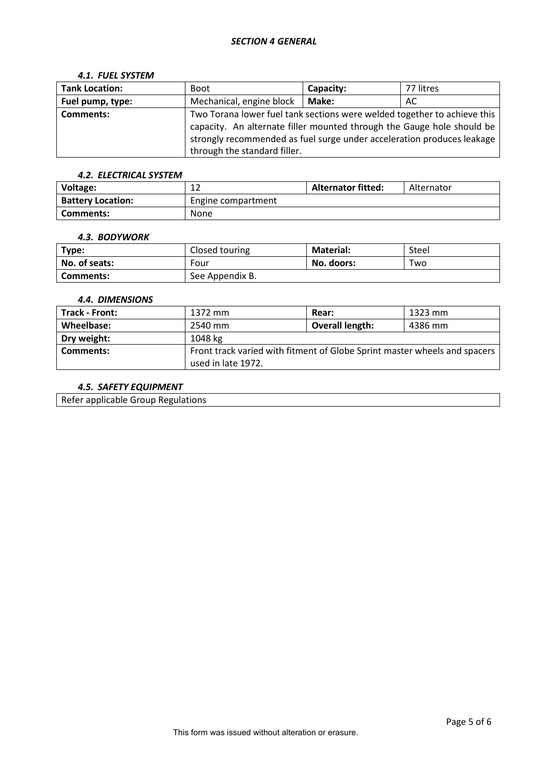#### *SECTION 4 GENERAL*

#### *4.1. FUEL SYSTEM*

| <b>Tank Location:</b> | <b>Boot</b>                                                              | Capacity:    | 77 litres |  |  |
|-----------------------|--------------------------------------------------------------------------|--------------|-----------|--|--|
| Fuel pump, type:      | Mechanical, engine block                                                 | <b>Make:</b> | AC        |  |  |
| <b>Comments:</b>      | Two Torana lower fuel tank sections were welded together to achieve this |              |           |  |  |
|                       | capacity. An alternate filler mounted through the Gauge hole should be   |              |           |  |  |
|                       | strongly recommended as fuel surge under acceleration produces leakage   |              |           |  |  |
|                       | through the standard filler.                                             |              |           |  |  |

#### *4.2. ELECTRICAL SYSTEM*

| Voltage:                 | ∸                  | <b>Alternator fitted:</b> | Alternator |
|--------------------------|--------------------|---------------------------|------------|
| <b>Battery Location:</b> | Engine compartment |                           |            |
| Comments:                | None               |                           |            |

#### *4.3. BODYWORK*

| Type:         | Closed touring  | <b>Material:</b> | Steel |
|---------------|-----------------|------------------|-------|
| No. of seats: | Four            | No. doors:       | Two   |
| Comments:     | See Appendix B. |                  |       |

### *4.4. DIMENSIONS*

| Track - Front: | 1372 mm                                                                                         | <b>Rear:</b>           | 1323 mm |  |  |
|----------------|-------------------------------------------------------------------------------------------------|------------------------|---------|--|--|
| Wheelbase:     | 2540 mm                                                                                         | <b>Overall length:</b> | 4386 mm |  |  |
| Dry weight:    | 1048 kg                                                                                         |                        |         |  |  |
| Comments:      | Front track varied with fitment of Globe Sprint master wheels and spacers<br>used in late 1972. |                        |         |  |  |

### *4.5. SAFETY EQUIPMENT*

Refer applicable Group Regulations